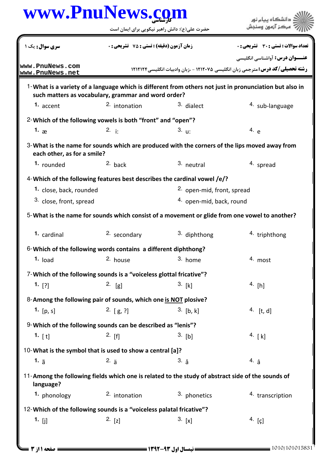|                                    | www.PnuNews.com                                                                        |                                                                                                   | دانشگاه پیام نور                                                                                       |  |
|------------------------------------|----------------------------------------------------------------------------------------|---------------------------------------------------------------------------------------------------|--------------------------------------------------------------------------------------------------------|--|
|                                    |                                                                                        | حضرت علی(ع): دانش راهبر نیکویی برای ایمان است                                                     | مرڪز آزمون وسنڊ                                                                                        |  |
| <b>سری سوال :</b> یک ۱             |                                                                                        | <b>زمان آزمون (دقیقه) : تستی : 75 ٪ تشریحی : 0</b>                                                |                                                                                                        |  |
| www.PnuNews.com<br>www.PnuNews.net | <b>رشته تحصیلی/کد درس: مترجمی زبان انگلیسی ۱۲۱۲۰۷۵ - ،زبان وادبیات انگلیسی ۱۲۱۲۱۲۴</b> |                                                                                                   | <b>عنــوان درس:</b> آواشناسي انگليسي                                                                   |  |
|                                    | such matters as vocabulary, grammar and word order?                                    |                                                                                                   | 1-What is a variety of a language which is different from others not just in pronunciation but also in |  |
| 1. accent                          | <sup>2.</sup> intonation                                                               | 3. dialect                                                                                        | 4. sub-language                                                                                        |  |
|                                    | 2-Which of the following vowels is both "front" and "open"?                            |                                                                                                   |                                                                                                        |  |
| 1. $\infty$                        | 2. i:                                                                                  | 3. u:                                                                                             | 4. e                                                                                                   |  |
| each other, as for a smile?        |                                                                                        | 3-What is the name for sounds which are produced with the corners of the lips moved away from     |                                                                                                        |  |
| 1. rounded                         | $2.$ back                                                                              | 3. neutral                                                                                        | 4. spread                                                                                              |  |
|                                    |                                                                                        | 4-Which of the following features best describes the cardinal vowel /e/?                          |                                                                                                        |  |
| 1. close, back, rounded            |                                                                                        | <sup>2.</sup> open-mid, front, spread                                                             |                                                                                                        |  |
|                                    | 3. close, front, spread                                                                |                                                                                                   | 4. open-mid, back, round                                                                               |  |
|                                    |                                                                                        | 5-What is the name for sounds which consist of a movement or glide from one vowel to another?     |                                                                                                        |  |
| 1. cardinal                        | 2. secondary                                                                           | 3. diphthong                                                                                      | <sup>4</sup> triphthong                                                                                |  |
|                                    | 6-Which of the following words contains a different diphthong?                         |                                                                                                   |                                                                                                        |  |
| $1.$ load                          | 2. house                                                                               | 3. home                                                                                           | 4. most                                                                                                |  |
|                                    | 7-Which of the following sounds is a "voiceless glottal fricative"?                    |                                                                                                   |                                                                                                        |  |
| $1.$ [?]                           | $2.$ [g]                                                                               | 3. [k]                                                                                            | 4. [h]                                                                                                 |  |
|                                    | 8-Among the following pair of sounds, which one is NOT plosive?                        |                                                                                                   |                                                                                                        |  |
| 1. $[p, s]$                        | 2. $[g, ?]$                                                                            | $3.$ [b, k]                                                                                       | 4. $[t, d]$                                                                                            |  |
|                                    | 9-Which of the following sounds can be described as "lenis"?                           |                                                                                                   |                                                                                                        |  |
| 1. $[t]$                           | $2.$ [f]                                                                               | $3.$ [b]                                                                                          | 4. $[k]$                                                                                               |  |
|                                    | 10-What is the symbol that is used to show a central [a]?                              |                                                                                                   |                                                                                                        |  |
| 1. $\tilde{a}$                     | $2. \frac{1}{d}$                                                                       | $3. \hat{a}$                                                                                      | 4. a                                                                                                   |  |
| language?                          |                                                                                        | 11-Among the following fields which one is related to the study of abstract side of the sounds of |                                                                                                        |  |
| 1. phonology                       | 2. intonation                                                                          | 3. phonetics                                                                                      | 4. transcription                                                                                       |  |
|                                    | 12-Which of the following sounds is a "voiceless palatal fricative"?                   |                                                                                                   |                                                                                                        |  |
| 1. $[j]$                           | 2. [z]                                                                                 | 3. [x]                                                                                            | 4. $[g]$                                                                                               |  |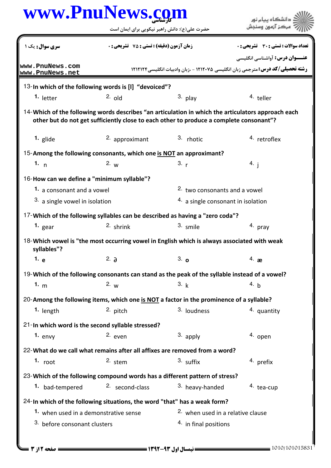| www.PnuNews.com |  |
|-----------------|--|
|-----------------|--|

| www.PnuNews.com                                                                                                                                                                               |                                                  |                                                                                                |                                                                                       |  |  |
|-----------------------------------------------------------------------------------------------------------------------------------------------------------------------------------------------|--------------------------------------------------|------------------------------------------------------------------------------------------------|---------------------------------------------------------------------------------------|--|--|
|                                                                                                                                                                                               | حضرت علی(ع): دانش راهبر نیکویی برای ایمان است    |                                                                                                |                                                                                       |  |  |
| <b>سری سوال :</b> یک ۱                                                                                                                                                                        | <b>زمان آزمون (دقیقه) : تستی : 75 تشریحی : 0</b> |                                                                                                | تعداد سوالات : تستي : 30 ٪ تشريحي : 0                                                 |  |  |
|                                                                                                                                                                                               |                                                  |                                                                                                | <b>عنـــوان درس:</b> آواشناسي انگليسي                                                 |  |  |
| www.PnuNews.com<br>www.PnuNews.net                                                                                                                                                            |                                                  |                                                                                                | <b>رشته تحصیلی/کد درس:</b> مترجمی زبان انگلیسی ۱۲۱۲۰۷۵ - ،زبان وادبیات انگلیسی۱۲۱۲۱۲۴ |  |  |
| 13-In which of the following words is [I] "devoiced"?                                                                                                                                         |                                                  |                                                                                                |                                                                                       |  |  |
| 1. letter                                                                                                                                                                                     | $2.$ old                                         | $3.$ play                                                                                      | 4. teller                                                                             |  |  |
| 14-Which of the following words describes "an articulation in which the articulators approach each<br>other but do not get sufficiently close to each other to produce a complete consonant"? |                                                  |                                                                                                |                                                                                       |  |  |
| 1. glide                                                                                                                                                                                      | 2. approximant                                   | 3. rhotic                                                                                      | 4. retroflex                                                                          |  |  |
| 15-Among the following consonants, which one is NOT an approximant?                                                                                                                           |                                                  |                                                                                                |                                                                                       |  |  |
| 1. $n$                                                                                                                                                                                        | 2. $w$                                           | 3. r                                                                                           | 4. i                                                                                  |  |  |
| 16-How can we define a "minimum syllable"?                                                                                                                                                    |                                                  |                                                                                                |                                                                                       |  |  |
| 1. a consonant and a vowel                                                                                                                                                                    |                                                  | 2. two consonants and a vowel                                                                  |                                                                                       |  |  |
| 3. a single vowel in isolation                                                                                                                                                                |                                                  | $4.$ a single consonant in isolation                                                           |                                                                                       |  |  |
|                                                                                                                                                                                               |                                                  | 17-Which of the following syllables can be described as having a "zero coda"?                  |                                                                                       |  |  |
| 1. $_{\text{gear}}$                                                                                                                                                                           | 2. shrink                                        | 3. smile                                                                                       | 4. pray                                                                               |  |  |
| syllables"?                                                                                                                                                                                   |                                                  | 18-Which vowel is "the most occurring vowel in English which is always associated with weak    |                                                                                       |  |  |
| 1. $e$                                                                                                                                                                                        | 2. $\partial$                                    | 3.0                                                                                            | 4. $\mathbf{a}$                                                                       |  |  |
|                                                                                                                                                                                               |                                                  | 19-Which of the following consonants can stand as the peak of the syllable instead of a vowel? |                                                                                       |  |  |
| 1. $m$                                                                                                                                                                                        | 2. w                                             | 3. k                                                                                           | 4. b                                                                                  |  |  |
|                                                                                                                                                                                               |                                                  | 20-Among the following items, which one is NOT a factor in the prominence of a syllable?       |                                                                                       |  |  |
| 1. length                                                                                                                                                                                     | 2. pitch                                         | 3. loudness                                                                                    | 4. quantity                                                                           |  |  |
| 21-In which word is the second syllable stressed?                                                                                                                                             |                                                  |                                                                                                |                                                                                       |  |  |
| 1. $envy$                                                                                                                                                                                     | 2. even                                          | $3.$ apply                                                                                     | 4. open                                                                               |  |  |
| 22- What do we call what remains after all affixes are removed from a word?                                                                                                                   |                                                  |                                                                                                |                                                                                       |  |  |
| 1. $root$                                                                                                                                                                                     | 2. stem                                          | 3. suffix                                                                                      | 4. prefix                                                                             |  |  |
|                                                                                                                                                                                               |                                                  | 23-Which of the following compound words has a different pattern of stress?                    |                                                                                       |  |  |
| 1. bad-tempered                                                                                                                                                                               | 2. second-class                                  | 3. heavy-handed                                                                                | 4. tea-cup                                                                            |  |  |
| 24-In which of the following situations, the word "that" has a weak form?                                                                                                                     |                                                  |                                                                                                |                                                                                       |  |  |
| 1. when used in a demonstrative sense                                                                                                                                                         |                                                  | 2. when used in a relative clause                                                              |                                                                                       |  |  |
| 3. before consonant clusters                                                                                                                                                                  |                                                  | 4. in final positions                                                                          |                                                                                       |  |  |
|                                                                                                                                                                                               |                                                  |                                                                                                |                                                                                       |  |  |